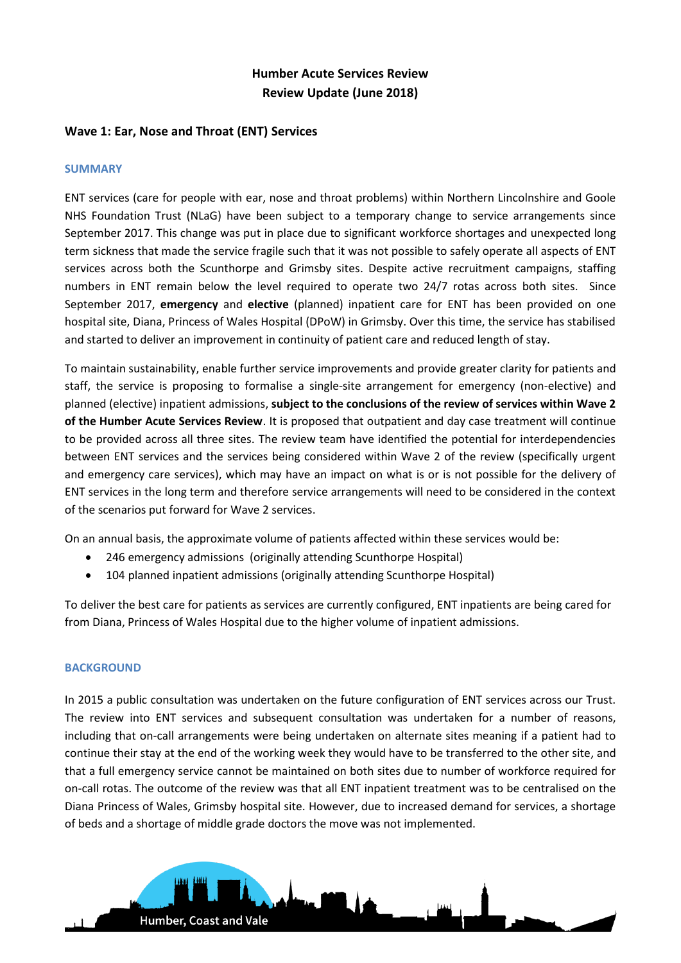## **Humber Acute Services Review Review Update (June 2018)**

## **Wave 1: Ear, Nose and Throat (ENT) Services**

#### **SUMMARY**

ENT services (care for people with ear, nose and throat problems) within Northern Lincolnshire and Goole NHS Foundation Trust (NLaG) have been subject to a temporary change to service arrangements since September 2017. This change was put in place due to significant workforce shortages and unexpected long term sickness that made the service fragile such that it was not possible to safely operate all aspects of ENT services across both the Scunthorpe and Grimsby sites. Despite active recruitment campaigns, staffing numbers in ENT remain below the level required to operate two 24/7 rotas across both sites. Since September 2017, **emergency** and **elective** (planned) inpatient care for ENT has been provided on one hospital site, Diana, Princess of Wales Hospital (DPoW) in Grimsby. Over this time, the service has stabilised and started to deliver an improvement in continuity of patient care and reduced length of stay.

To maintain sustainability, enable further service improvements and provide greater clarity for patients and staff, the service is proposing to formalise a single-site arrangement for emergency (non-elective) and planned (elective) inpatient admissions, **subject to the conclusions of the review of services within Wave 2 of the Humber Acute Services Review**. It is proposed that outpatient and day case treatment will continue to be provided across all three sites. The review team have identified the potential for interdependencies between ENT services and the services being considered within Wave 2 of the review (specifically urgent and emergency care services), which may have an impact on what is or is not possible for the delivery of ENT services in the long term and therefore service arrangements will need to be considered in the context of the scenarios put forward for Wave 2 services.

On an annual basis, the approximate volume of patients affected within these services would be:

- 246 emergency admissions (originally attending Scunthorpe Hospital)
- 104 planned inpatient admissions (originally attending Scunthorpe Hospital)

To deliver the best care for patients as services are currently configured, ENT inpatients are being cared for from Diana, Princess of Wales Hospital due to the higher volume of inpatient admissions.

#### **BACKGROUND**

In 2015 a public consultation was undertaken on the future configuration of ENT services across our Trust. The review into ENT services and subsequent consultation was undertaken for a number of reasons, including that on-call arrangements were being undertaken on alternate sites meaning if a patient had to continue their stay at the end of the working week they would have to be transferred to the other site, and that a full emergency service cannot be maintained on both sites due to number of workforce required for on-call rotas. The outcome of the review was that all ENT inpatient treatment was to be centralised on the Diana Princess of Wales, Grimsby hospital site. However, due to increased demand for services, a shortage of beds and a shortage of middle grade doctors the move was not implemented.

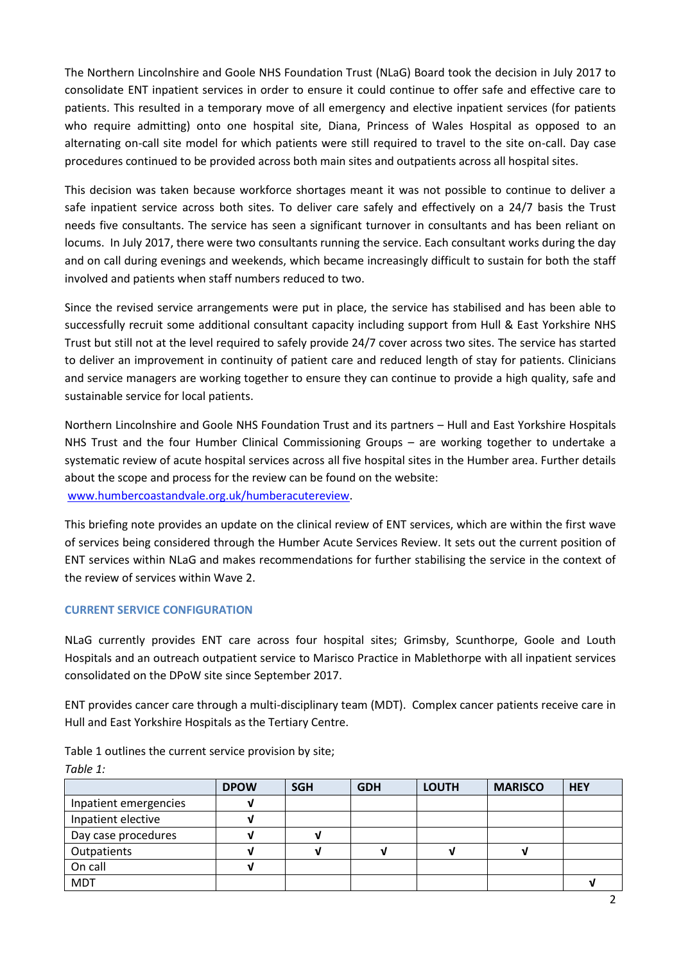The Northern Lincolnshire and Goole NHS Foundation Trust (NLaG) Board took the decision in July 2017 to consolidate ENT inpatient services in order to ensure it could continue to offer safe and effective care to patients. This resulted in a temporary move of all emergency and elective inpatient services (for patients who require admitting) onto one hospital site, Diana, Princess of Wales Hospital as opposed to an alternating on-call site model for which patients were still required to travel to the site on-call. Day case procedures continued to be provided across both main sites and outpatients across all hospital sites.

This decision was taken because workforce shortages meant it was not possible to continue to deliver a safe inpatient service across both sites. To deliver care safely and effectively on a 24/7 basis the Trust needs five consultants. The service has seen a significant turnover in consultants and has been reliant on locums. In July 2017, there were two consultants running the service. Each consultant works during the day and on call during evenings and weekends, which became increasingly difficult to sustain for both the staff involved and patients when staff numbers reduced to two.

Since the revised service arrangements were put in place, the service has stabilised and has been able to successfully recruit some additional consultant capacity including support from Hull & East Yorkshire NHS Trust but still not at the level required to safely provide 24/7 cover across two sites. The service has started to deliver an improvement in continuity of patient care and reduced length of stay for patients. Clinicians and service managers are working together to ensure they can continue to provide a high quality, safe and sustainable service for local patients.

Northern Lincolnshire and Goole NHS Foundation Trust and its partners – Hull and East Yorkshire Hospitals NHS Trust and the four Humber Clinical Commissioning Groups – are working together to undertake a systematic review of acute hospital services across all five hospital sites in the Humber area. Further details about the scope and process for the review can be found on the website: [www.humbercoastandvale.org.uk/humberacutereview.](http://www.humbercoastandvale.org.uk/humberacutereview)

This briefing note provides an update on the clinical review of ENT services, which are within the first wave of services being considered through the Humber Acute Services Review. It sets out the current position of ENT services within NLaG and makes recommendations for further stabilising the service in the context of the review of services within Wave 2.

## **CURRENT SERVICE CONFIGURATION**

NLaG currently provides ENT care across four hospital sites; Grimsby, Scunthorpe, Goole and Louth Hospitals and an outreach outpatient service to Marisco Practice in Mablethorpe with all inpatient services consolidated on the DPoW site since September 2017.

ENT provides cancer care through a multi-disciplinary team (MDT). Complex cancer patients receive care in Hull and East Yorkshire Hospitals as the Tertiary Centre.

Table 1 outlines the current service provision by site; *Table 1:*

|                       | <b>DPOW</b> | <b>SGH</b> | <b>GDH</b> | <b>LOUTH</b> | <b>MARISCO</b> | <b>HEY</b> |
|-----------------------|-------------|------------|------------|--------------|----------------|------------|
| Inpatient emergencies |             |            |            |              |                |            |
| Inpatient elective    |             |            |            |              |                |            |
| Day case procedures   |             |            |            |              |                |            |
| Outpatients           |             |            |            |              |                |            |
| On call               |             |            |            |              |                |            |
| <b>MDT</b>            |             |            |            |              |                |            |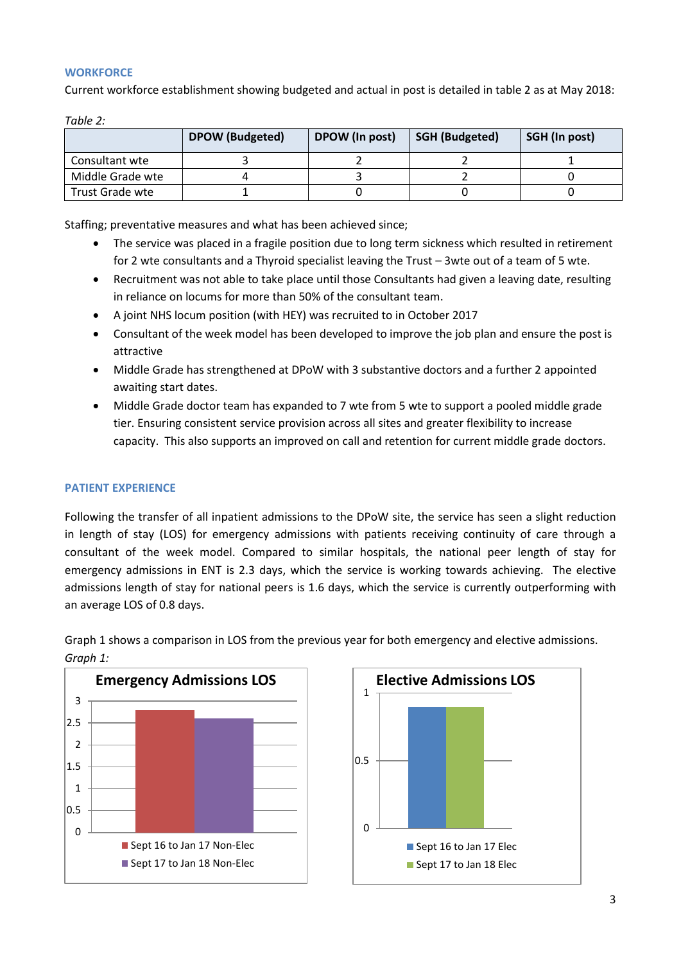#### **WORKFORCE**

Current workforce establishment showing budgeted and actual in post is detailed in table 2 as at May 2018:

*Table 2:*

|                  | <b>DPOW (Budgeted)</b> | DPOW (In post) | <b>SGH (Budgeted)</b> | SGH (In post) |
|------------------|------------------------|----------------|-----------------------|---------------|
| Consultant wte   |                        |                |                       |               |
| Middle Grade wte |                        |                |                       |               |
| Trust Grade wte  |                        |                |                       |               |

Staffing; preventative measures and what has been achieved since;

- The service was placed in a fragile position due to long term sickness which resulted in retirement for 2 wte consultants and a Thyroid specialist leaving the Trust – 3wte out of a team of 5 wte.
- Recruitment was not able to take place until those Consultants had given a leaving date, resulting in reliance on locums for more than 50% of the consultant team.
- A joint NHS locum position (with HEY) was recruited to in October 2017
- Consultant of the week model has been developed to improve the job plan and ensure the post is attractive
- Middle Grade has strengthened at DPoW with 3 substantive doctors and a further 2 appointed awaiting start dates.
- Middle Grade doctor team has expanded to 7 wte from 5 wte to support a pooled middle grade tier. Ensuring consistent service provision across all sites and greater flexibility to increase capacity. This also supports an improved on call and retention for current middle grade doctors.

## **PATIENT EXPERIENCE**

Following the transfer of all inpatient admissions to the DPoW site, the service has seen a slight reduction in length of stay (LOS) for emergency admissions with patients receiving continuity of care through a consultant of the week model. Compared to similar hospitals, the national peer length of stay for emergency admissions in ENT is 2.3 days, which the service is working towards achieving. The elective admissions length of stay for national peers is 1.6 days, which the service is currently outperforming with an average LOS of 0.8 days.





Graph 1 shows a comparison in LOS from the previous year for both emergency and elective admissions. *Graph 1:*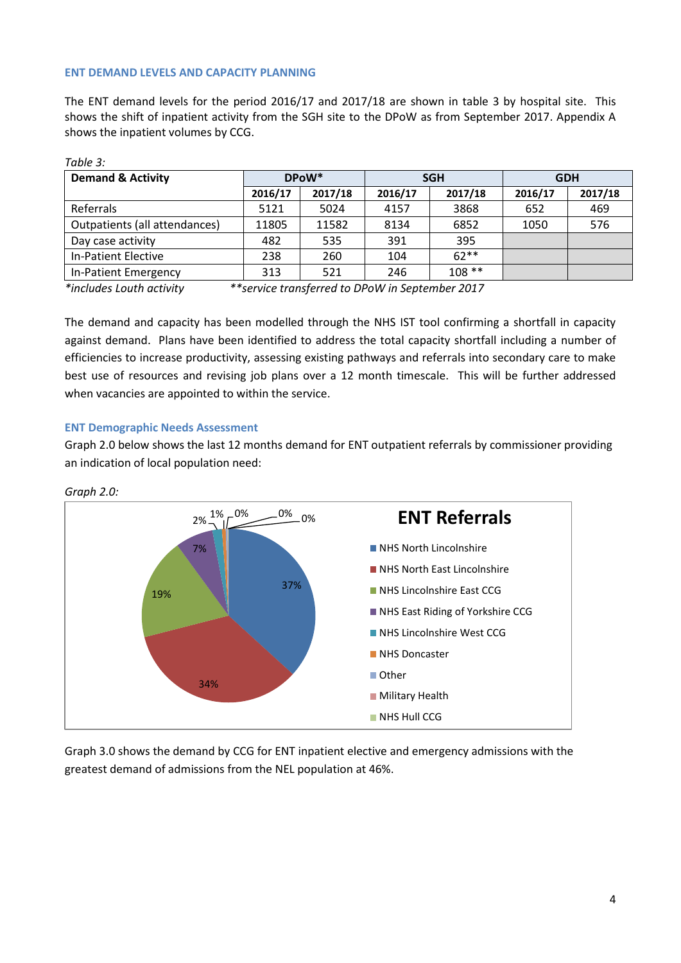#### **ENT DEMAND LEVELS AND CAPACITY PLANNING**

The ENT demand levels for the period 2016/17 and 2017/18 are shown in table 3 by hospital site. This shows the shift of inpatient activity from the SGH site to the DPoW as from September 2017. Appendix A shows the inpatient volumes by CCG.

| , , , , , , , , ,             |         |         |            |         |            |         |  |
|-------------------------------|---------|---------|------------|---------|------------|---------|--|
| <b>Demand &amp; Activity</b>  | DPoW*   |         | <b>SGH</b> |         | <b>GDH</b> |         |  |
|                               | 2016/17 | 2017/18 | 2016/17    | 2017/18 | 2016/17    | 2017/18 |  |
| Referrals                     | 5121    | 5024    | 4157       | 3868    | 652        | 469     |  |
| Outpatients (all attendances) | 11805   | 11582   | 8134       | 6852    | 1050       | 576     |  |
| Day case activity             | 482     | 535     | 391        | 395     |            |         |  |
| In-Patient Elective           | 238     | 260     | 104        | $62**$  |            |         |  |
| In-Patient Emergency          | 313     | 521     | 246        | $108**$ |            |         |  |

*Table 3:*

*\*includes Louth activity \*\*service transferred to DPoW in September 2017*

The demand and capacity has been modelled through the NHS IST tool confirming a shortfall in capacity against demand. Plans have been identified to address the total capacity shortfall including a number of efficiencies to increase productivity, assessing existing pathways and referrals into secondary care to make best use of resources and revising job plans over a 12 month timescale. This will be further addressed when vacancies are appointed to within the service.

#### **ENT Demographic Needs Assessment**

Graph 2.0 below shows the last 12 months demand for ENT outpatient referrals by commissioner providing an indication of local population need:



*Graph 2.0:*

Graph 3.0 shows the demand by CCG for ENT inpatient elective and emergency admissions with the greatest demand of admissions from the NEL population at 46%.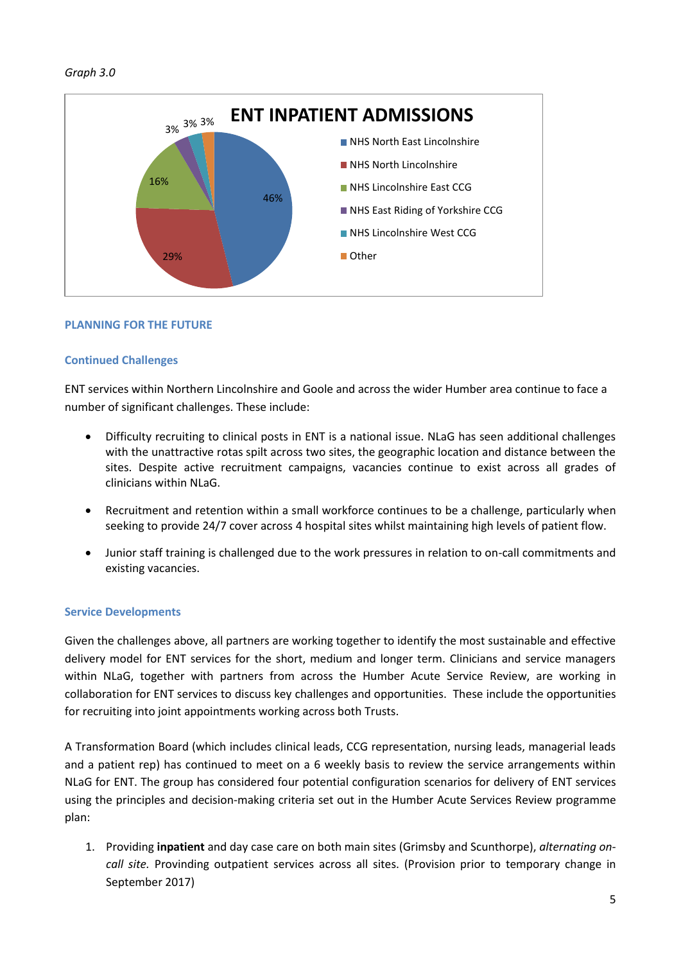## *Graph 3.0*



## **PLANNING FOR THE FUTURE**

## **Continued Challenges**

ENT services within Northern Lincolnshire and Goole and across the wider Humber area continue to face a number of significant challenges. These include:

- Difficulty recruiting to clinical posts in ENT is a national issue. NLaG has seen additional challenges with the unattractive rotas spilt across two sites, the geographic location and distance between the sites. Despite active recruitment campaigns, vacancies continue to exist across all grades of clinicians within NLaG.
- Recruitment and retention within a small workforce continues to be a challenge, particularly when seeking to provide 24/7 cover across 4 hospital sites whilst maintaining high levels of patient flow.
- Junior staff training is challenged due to the work pressures in relation to on-call commitments and existing vacancies.

## **Service Developments**

Given the challenges above, all partners are working together to identify the most sustainable and effective delivery model for ENT services for the short, medium and longer term. Clinicians and service managers within NLaG, together with partners from across the Humber Acute Service Review, are working in collaboration for ENT services to discuss key challenges and opportunities. These include the opportunities for recruiting into joint appointments working across both Trusts.

A Transformation Board (which includes clinical leads, CCG representation, nursing leads, managerial leads and a patient rep) has continued to meet on a 6 weekly basis to review the service arrangements within NLaG for ENT. The group has considered four potential configuration scenarios for delivery of ENT services using the principles and decision-making criteria set out in the Humber Acute Services Review programme plan:

1. Providing **inpatient** and day case care on both main sites (Grimsby and Scunthorpe), *alternating oncall site.* Provinding outpatient services across all sites. (Provision prior to temporary change in September 2017)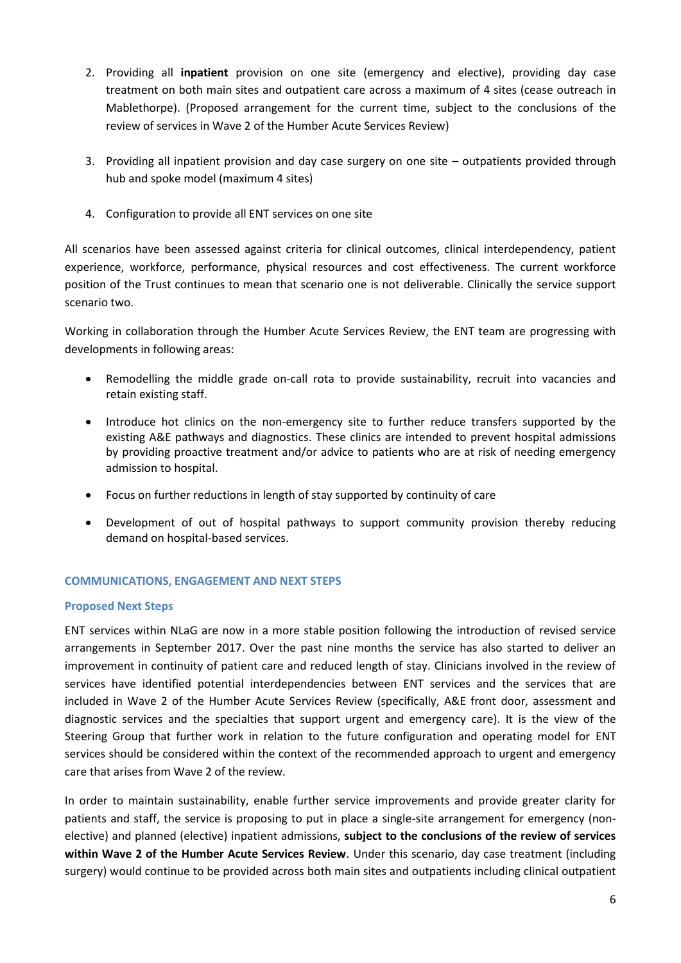- 2. Providing all **inpatient** provision on one site (emergency and elective), providing day case treatment on both main sites and outpatient care across a maximum of 4 sites (cease outreach in Mablethorpe). (Proposed arrangement for the current time, subject to the conclusions of the review of services in Wave 2 of the Humber Acute Services Review)
- 3. Providing all inpatient provision and day case surgery on one site outpatients provided through hub and spoke model (maximum 4 sites)
- 4. Configuration to provide all ENT services on one site

All scenarios have been assessed against criteria for clinical outcomes, clinical interdependency, patient experience, workforce, performance, physical resources and cost effectiveness. The current workforce position of the Trust continues to mean that scenario one is not deliverable. Clinically the service support scenario two.

Working in collaboration through the Humber Acute Services Review, the ENT team are progressing with developments in following areas:

- Remodelling the middle grade on-call rota to provide sustainability, recruit into vacancies and retain existing staff.
- Introduce hot clinics on the non-emergency site to further reduce transfers supported by the existing A&E pathways and diagnostics. These clinics are intended to prevent hospital admissions by providing proactive treatment and/or advice to patients who are at risk of needing emergency admission to hospital.
- Focus on further reductions in length of stay supported by continuity of care
- Development of out of hospital pathways to support community provision thereby reducing demand on hospital-based services.

## **COMMUNICATIONS, ENGAGEMENT AND NEXT STEPS**

## **Proposed Next Steps**

ENT services within NLaG are now in a more stable position following the introduction of revised service arrangements in September 2017. Over the past nine months the service has also started to deliver an improvement in continuity of patient care and reduced length of stay. Clinicians involved in the review of services have identified potential interdependencies between ENT services and the services that are included in Wave 2 of the Humber Acute Services Review (specifically, A&E front door, assessment and diagnostic services and the specialties that support urgent and emergency care). It is the view of the Steering Group that further work in relation to the future configuration and operating model for ENT services should be considered within the context of the recommended approach to urgent and emergency care that arises from Wave 2 of the review.

In order to maintain sustainability, enable further service improvements and provide greater clarity for patients and staff, the service is proposing to put in place a single-site arrangement for emergency (nonelective) and planned (elective) inpatient admissions, **subject to the conclusions of the review of services within Wave 2 of the Humber Acute Services Review**. Under this scenario, day case treatment (including surgery) would continue to be provided across both main sites and outpatients including clinical outpatient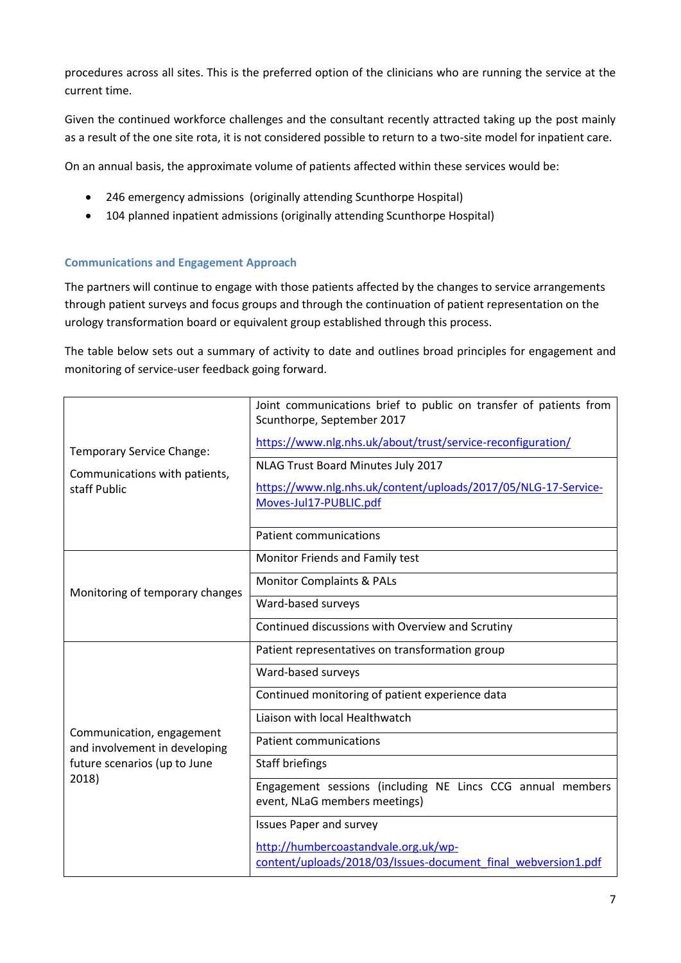procedures across all sites. This is the preferred option of the clinicians who are running the service at the current time.

Given the continued workforce challenges and the consultant recently attracted taking up the post mainly as a result of the one site rota, it is not considered possible to return to a two-site model for inpatient care.

On an annual basis, the approximate volume of patients affected within these services would be:

- 246 emergency admissions (originally attending Scunthorpe Hospital)
- 104 planned inpatient admissions (originally attending Scunthorpe Hospital)

## **Communications and Engagement Approach**

The partners will continue to engage with those patients affected by the changes to service arrangements through patient surveys and focus groups and through the continuation of patient representation on the urology transformation board or equivalent group established through this process.

The table below sets out a summary of activity to date and outlines broad principles for engagement and monitoring of service-user feedback going forward.

|                                                                                                     | Joint communications brief to public on transfer of patients from |  |  |
|-----------------------------------------------------------------------------------------------------|-------------------------------------------------------------------|--|--|
|                                                                                                     | Scunthorpe, September 2017                                        |  |  |
| Temporary Service Change:                                                                           | https://www.nlg.nhs.uk/about/trust/service-reconfiguration/       |  |  |
| Communications with patients,                                                                       | NLAG Trust Board Minutes July 2017                                |  |  |
| staff Public                                                                                        | https://www.nlg.nhs.uk/content/uploads/2017/05/NLG-17-Service-    |  |  |
|                                                                                                     | Moves-Jul17-PUBLIC.pdf                                            |  |  |
|                                                                                                     | <b>Patient communications</b>                                     |  |  |
| Monitoring of temporary changes                                                                     | Monitor Friends and Family test                                   |  |  |
|                                                                                                     | <b>Monitor Complaints &amp; PALs</b>                              |  |  |
|                                                                                                     | Ward-based surveys                                                |  |  |
|                                                                                                     | Continued discussions with Overview and Scrutiny                  |  |  |
|                                                                                                     | Patient representatives on transformation group                   |  |  |
|                                                                                                     | Ward-based surveys                                                |  |  |
|                                                                                                     | Continued monitoring of patient experience data                   |  |  |
|                                                                                                     | Liaison with local Healthwatch                                    |  |  |
| Communication, engagement<br>and involvement in developing<br>future scenarios (up to June<br>2018) | <b>Patient communications</b>                                     |  |  |
|                                                                                                     | <b>Staff briefings</b>                                            |  |  |
|                                                                                                     | Engagement sessions (including NE Lincs CCG annual members        |  |  |
|                                                                                                     | event, NLaG members meetings)                                     |  |  |
|                                                                                                     | <b>Issues Paper and survey</b>                                    |  |  |
|                                                                                                     | http://humbercoastandvale.org.uk/wp-                              |  |  |
|                                                                                                     | content/uploads/2018/03/Issues-document final webversion1.pdf     |  |  |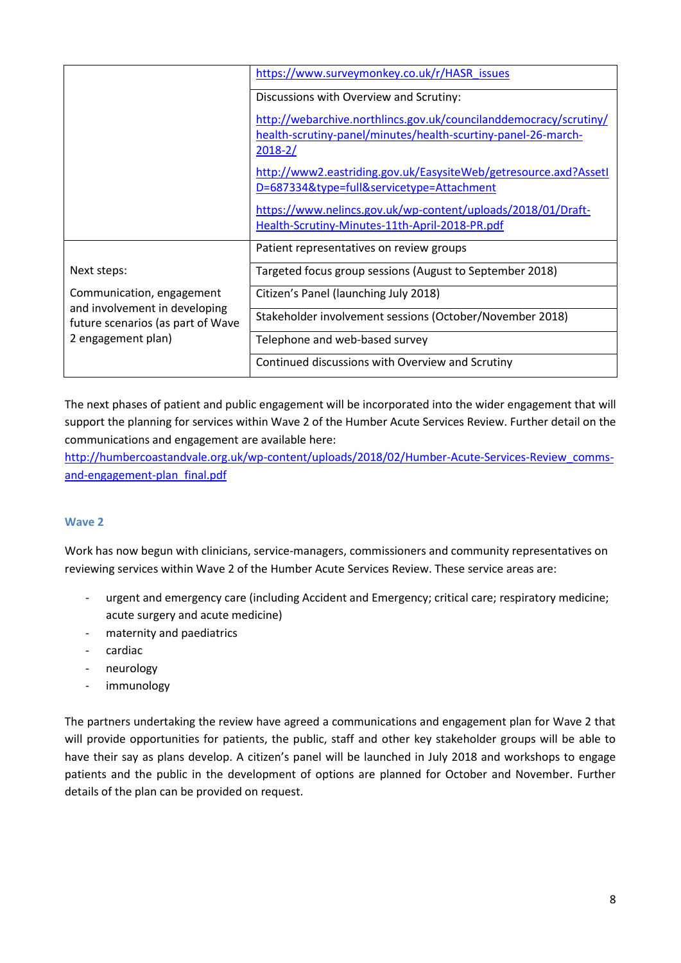|                                                                    | https://www.surveymonkey.co.uk/r/HASR issues                                                                                                      |
|--------------------------------------------------------------------|---------------------------------------------------------------------------------------------------------------------------------------------------|
|                                                                    | Discussions with Overview and Scrutiny:                                                                                                           |
|                                                                    | http://webarchive.northlincs.gov.uk/councilanddemocracy/scrutiny/<br>health-scrutiny-panel/minutes/health-scurtiny-panel-26-march-<br>$2018 - 2/$ |
|                                                                    | http://www2.eastriding.gov.uk/EasysiteWeb/getresource.axd?AssetI<br>D=687334&type=full&servicetype=Attachment                                     |
|                                                                    | https://www.nelincs.gov.uk/wp-content/uploads/2018/01/Draft-<br>Health-Scrutiny-Minutes-11th-April-2018-PR.pdf                                    |
|                                                                    | Patient representatives on review groups                                                                                                          |
| Next steps:                                                        | Targeted focus group sessions (August to September 2018)                                                                                          |
| Communication, engagement                                          | Citizen's Panel (launching July 2018)                                                                                                             |
| and involvement in developing<br>future scenarios (as part of Wave | Stakeholder involvement sessions (October/November 2018)                                                                                          |
| 2 engagement plan)                                                 | Telephone and web-based survey                                                                                                                    |
|                                                                    | Continued discussions with Overview and Scrutiny                                                                                                  |

The next phases of patient and public engagement will be incorporated into the wider engagement that will support the planning for services within Wave 2 of the Humber Acute Services Review. Further detail on the communications and engagement are available here:

[http://humbercoastandvale.org.uk/wp-content/uploads/2018/02/Humber-Acute-Services-Review\\_comms](http://humbercoastandvale.org.uk/wp-content/uploads/2018/02/Humber-Acute-Services-Review_comms-and-engagement-plan_final.pdf)[and-engagement-plan\\_final.pdf](http://humbercoastandvale.org.uk/wp-content/uploads/2018/02/Humber-Acute-Services-Review_comms-and-engagement-plan_final.pdf)

## **Wave 2**

Work has now begun with clinicians, service-managers, commissioners and community representatives on reviewing services within Wave 2 of the Humber Acute Services Review. These service areas are:

- urgent and emergency care (including Accident and Emergency; critical care; respiratory medicine; acute surgery and acute medicine)
- maternity and paediatrics
- cardiac
- neurology
- immunology

The partners undertaking the review have agreed a communications and engagement plan for Wave 2 that will provide opportunities for patients, the public, staff and other key stakeholder groups will be able to have their say as plans develop. A citizen's panel will be launched in July 2018 and workshops to engage patients and the public in the development of options are planned for October and November. Further details of the plan can be provided on request.